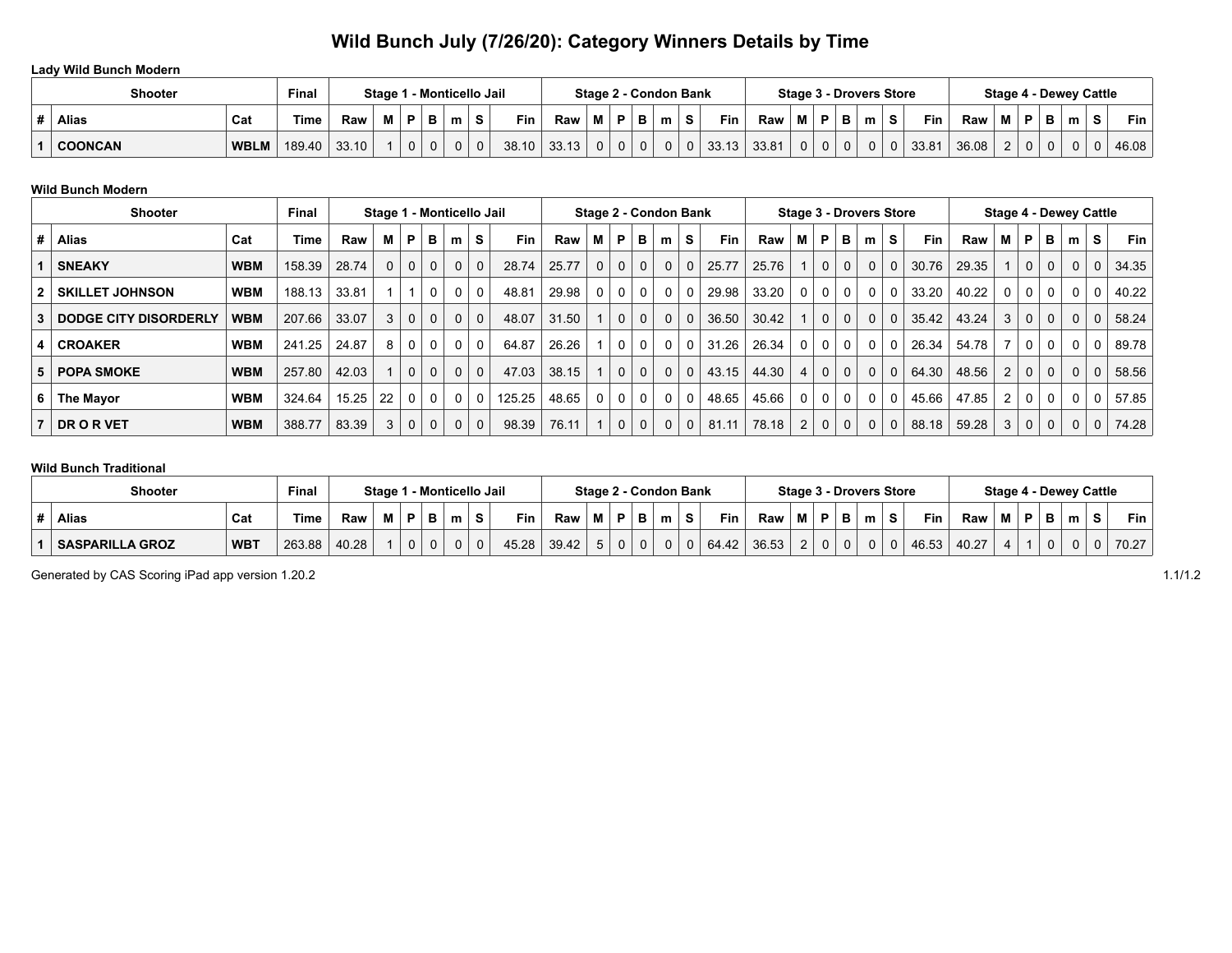## **Wild Bunch July (7/26/20): Category Winners Details by Time**

### **Lady Wild Bunch Modern**

| <b>Shooter</b> | <b>Final</b> | Stage 1 - Monticello Jail |       |   |   |   |   | Stage 2 - Condon Bank |       |       |                |   | <b>Stage 3 - Drovers Store</b> |          |                |       |       |                |                |          | <b>Stage 4 - Dewey Cattle</b> |          |            |       |   |              |  |   |    |            |
|----------------|--------------|---------------------------|-------|---|---|---|---|-----------------------|-------|-------|----------------|---|--------------------------------|----------|----------------|-------|-------|----------------|----------------|----------|-------------------------------|----------|------------|-------|---|--------------|--|---|----|------------|
| <b>Alias</b>   | Cat          | 'ime                      | Raw   | M | D | в | m |                       | Fin   | Raw   | М              |   | $P$ $\vert$ B                  | m        |                | Fin   | Raw   | М              | D              | в        | m                             | -S       | <b>Fin</b> | Raw   | M | D            |  | m | S. | <b>Fin</b> |
| <b>COONCAN</b> | <b>WBLM</b>  | 189.40                    | 33.10 |   |   |   | 0 | 0                     | 38.10 | 33.13 | 0 <sup>1</sup> | 0 |                                | $\Omega$ | 0 <sup>1</sup> | 33.13 | 33.81 | $\overline{0}$ | 0 <sup>1</sup> | $\Omega$ | 0                             | $\Omega$ | 33.81      | 36.08 |   | $\mathbf{0}$ |  |   | 0  | 46.08      |

### **Wild Bunch Modern**

| <b>Shooter</b> |                        |            | Final  | Stage 1 - Monticello Jail |                |             |             |              |              |            | Stage 2 - Condon Bank |                |             |              |             |                | <b>Stage 3 - Drovers Store</b> |       |          |          |             |                |          | <b>Stage 4 - Dewey Cattle</b> |       |                |              |                |          |          |       |
|----------------|------------------------|------------|--------|---------------------------|----------------|-------------|-------------|--------------|--------------|------------|-----------------------|----------------|-------------|--------------|-------------|----------------|--------------------------------|-------|----------|----------|-------------|----------------|----------|-------------------------------|-------|----------------|--------------|----------------|----------|----------|-------|
|                | <b>Alias</b>           | Cat        | Time   | Raw                       | м              | P           | в           | m            | s            | <b>Fin</b> | Raw                   | М              | P           | в            | m           | S.             | <b>Fin</b>                     | Raw   | м        | P        | в           | m              | S        | <b>Fin</b>                    | Raw   | м              | P            | в              | m        | s        | Fin.  |
|                | <b>SNEAKY</b>          | <b>WBM</b> | 158.39 | 28.74                     | 0 <sup>1</sup> | $\mathbf 0$ | $\mathbf 0$ | $\Omega$     | $\Omega$     | 28.74      | 25.77                 | 0 <sup>1</sup> | $\mathbf 0$ | $\mathbf 0$  | $\Omega$    | $\Omega$       | 25.77                          | 25.76 |          | $\Omega$ | $\mathbf 0$ | $\Omega$       | $\Omega$ | 30.76                         | 29.35 |                | $\mathbf 0$  | 0 <sup>1</sup> | $\Omega$ | $\Omega$ | 34.35 |
|                | <b>SKILLET JOHNSON</b> | WBM        | 188.13 | 33.81                     |                |             | 0           | $\mathbf{0}$ | $\mathbf{0}$ | 48.81      | 29.98                 | 0 <sup>1</sup> | $\mathbf 0$ | $\mathbf 0$  | $\mathbf 0$ | 0 <sup>1</sup> | 29.98                          | 33.20 | $\Omega$ | 0        | 0           | 0 <sup>1</sup> | 0        | 33.20                         | 40.22 | $\Omega$       | 0            | 0 <sup>1</sup> | $\Omega$ | $\Omega$ | 40.22 |
|                | DODGE CITY DISORDERLY  | WBM        | 207.66 | 33.07                     |                | $3 \mid 0$  | $\mathbf 0$ | $\mathbf{0}$ | $\Omega$     | 48.07      | 31.50                 |                | $\mathbf 0$ | $\mathbf 0$  | $\Omega$    | 0 <sup>1</sup> | 36.50                          | 30.42 |          | $\Omega$ | $\Omega$    | $\Omega$       | $\Omega$ | 35.42                         | 43.24 | 3              | $\mathbf 0$  | 0 <sup>1</sup> | $\Omega$ | $\Omega$ | 58.24 |
|                | <b>CROAKER</b>         | WBM        | 241.25 | 24.87                     | 8              | $\mathbf 0$ | 0           | $\Omega$     | $\Omega$     | 64.87      | 26.26                 |                | $\mathbf 0$ | 0            | $\Omega$    | $\Omega$       | 31.26                          | 26.34 | 0        | 0        | 0           | $\Omega$       |          | 26.34                         | 54.78 |                | 0            | 0 <sup>1</sup> | $\Omega$ | $\Omega$ | 89.78 |
| 5.             | <b>POPA SMOKE</b>      | WBM        | 257.80 | 42.03                     |                | $\mathbf 0$ | $\mathbf 0$ | $\Omega$     | $\Omega$     | 47.03      | 38.15                 |                | $\mathbf 0$ | $\mathbf 0$  | $\Omega$    | $\Omega$       | 43.15                          | 44.30 | 4        | $\Omega$ | $\mathbf 0$ | $\mathbf{0}$   | 0        | 64.30                         | 48.56 | 2              | $\mathbf{0}$ | 0 <sup>1</sup> | $\Omega$ | $\Omega$ | 58.56 |
| 6 I            | The Mayor              | WBM        | 324.64 | 15.25                     | 22             | $\Omega$    | 0           | $\Omega$     | $\Omega$     | 125.25     | 48.65                 | 0 <sup>1</sup> | $\mathbf 0$ | 0            | 0           | $\Omega$       | 48.65                          | 45.66 | 0        | 0        | $\mathbf 0$ | $\overline{0}$ | 0        | 45.66                         | 47.85 | $\overline{2}$ | $\mathbf{0}$ | 0 <sup>1</sup> | $\Omega$ | $\Omega$ | 57.85 |
|                | <b>DRORVET</b>         | WBM        | 388.77 | 83.39                     | 3 <sup>1</sup> | $\mathbf 0$ | $\mathbf 0$ | $\Omega$     | $\Omega$     | 98.39      | 76.11                 |                | $\mathbf 0$ | $\mathbf{0}$ | $\Omega$    | 0 <sup>1</sup> | 81.11                          | 78.18 | 2        | $\Omega$ | $\mathbf 0$ | 0 <sup>1</sup> | 0        | 88.18                         | 59.28 | 3 <sup>1</sup> | $\mathbf 0$  | 0 <sup>1</sup> | 0        | $\Omega$ | 74.28 |

### **Wild Bunch Traditional**

| <b>Shooter</b><br>Final |                        |            |        | Stage 1 - Monticello Jail |   |    |    |   |   | Stage 2 - Condon Bank |       |             |  |   | <b>Stage 3 - Drovers Store</b> |    |       |       |            |               |   |   | l - Deweγ Cattle<br>Stage 4 |       |       |   |   |  |   |  |       |
|-------------------------|------------------------|------------|--------|---------------------------|---|----|----|---|---|-----------------------|-------|-------------|--|---|--------------------------------|----|-------|-------|------------|---------------|---|---|-----------------------------|-------|-------|---|---|--|---|--|-------|
|                         | <b>Alias</b>           | Cat        | Time   | Raw                       | M | в. |    | m |   | Fin.                  | Raw   | M           |  | Ð | m                              | S. | Fin   | Raw   | М          | D             | в | m | s                           | Fin   | Raw   | M | Þ |  | m |  | Fin   |
|                         | <b>SASPARILLA GROZ</b> | <b>WBT</b> | 263.88 | 40.28                     |   |    | 0. |   | 0 | 45.28                 | 39.42 | $5^{\circ}$ |  | 0 | 0                              | 0  | 64.42 | 36.53 | $\epsilon$ | $\Omega$<br>U | 0 | 0 |                             | 46.53 | 40.27 |   |   |  |   |  | 70.27 |

Generated by CAS Scoring iPad app version 1.20.2 1.1/1.2